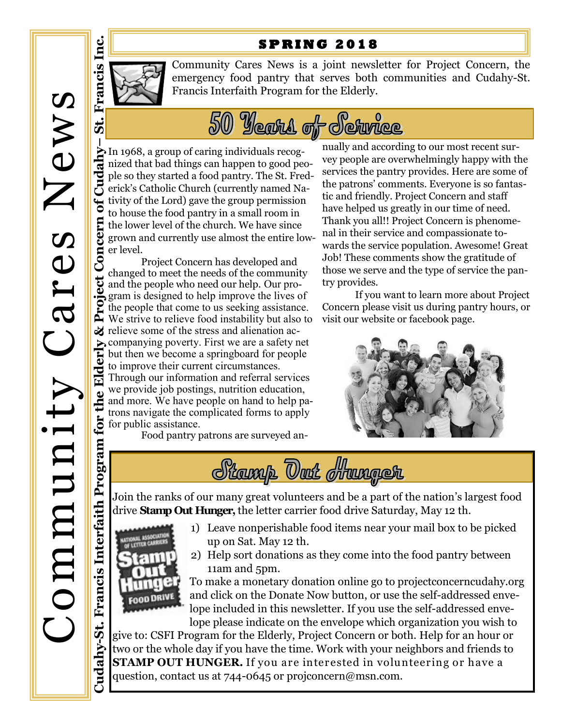## **S P R I N G 2 0 1 8**



**–**

 $\ddot{5}$ 

Community Cares News is a joint newsletter for Project Concern, the emergency food pantry that serves both communities and Cudahy-St. Francis Interfaith Program for the Elderly.



In 1968, a group of caring individuals recognized that bad things can happen to good people so they started a food pantry. The St. Frederick's Catholic Church (currently named Nativity of the Lord) gave the group permission to house the food pantry in a small room in Concern the lower level of the church. We have since grown and currently use almost the entire lower level.

**Cudahy-St. Francis Interfaith Program for the Elderly & Project Concern of Cudahy** Project Concern has developed and<br>changed to meet the needs of the community changed to meet the needs of the community and the people who need our help. Our program is designed to help improve the lives of the people that come to us seeking assistance. We strive to relieve food instability but also to  $\mathcal{Z}$  relieve some of the stress and alienation accompanying poverty. First we are a safety net but then we become a springboard for people to improve their current circumstances. Through our information and referral services we provide job postings, nutrition education, and more. We have people on hand to help patrons navigate the complicated forms to apply we provide job posting<br>and more. We have post<br>trons navigate the cor-<br> $\frac{1}{2}$  for public assistance.<br>Food pantry p Food pantry patrons are surveyed annually and according to our most recent survey people are overwhelmingly happy with the services the pantry provides. Here are some of the patrons' comments. Everyone is so fantastic and friendly. Project Concern and staff have helped us greatly in our time of need. Thank you all!! Project Concern is phenomenal in their service and compassionate towards the service population. Awesome! Great Job! These comments show the gratitude of those we serve and the type of service the pantry provides.

If you want to learn more about Project Concern please visit us during pantry hours, or visit our website or facebook page.





Join the ranks of our many great volunteers and be a part of the nation's largest food drive **Stamp Out Hunger,** the letter carrier food drive Saturday, May 12 th.



Cudahy-St.

- 1) Leave nonperishable food items near your mail box to be picked up on Sat. May 12 th.
- 2) Help sort donations as they come into the food pantry between 11am and 5pm.

To make a monetary donation online go to projectconcerncudahy.org and click on the Donate Now button, or use the self-addressed envelope included in this newsletter. If you use the self-addressed envelope please indicate on the envelope which organization you wish to

give to: CSFI Program for the Elderly, Project Concern or both. Help for an hour or two or the whole day if you have the time. Work with your neighbors and friends to **STAMP OUT HUNGER.** If you are interested in volunteering or have a question, contact us at 744-0645 or projconcern@msn.com.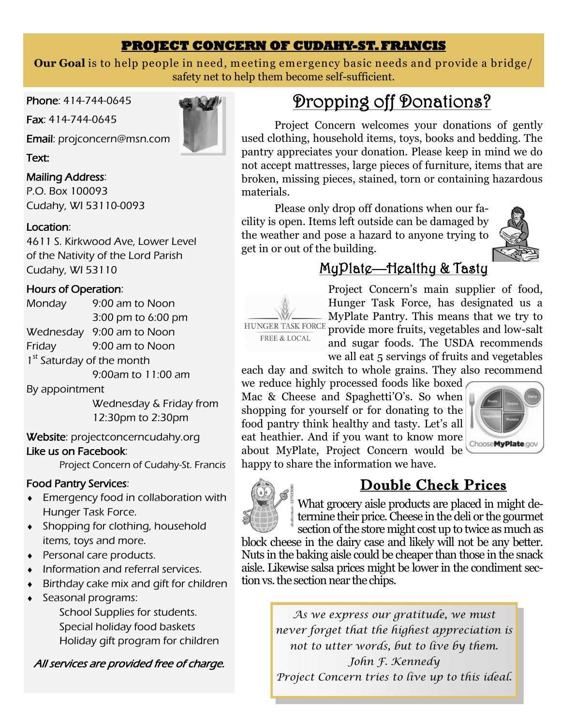## **PROJECT CONCERN OF CUDAHY-ST. FRANCIS**

**Our Goal** is to help people in need, meeting emergency basic needs and provide a bridge/ safety net to help them become self-sufficient.

Phone: 414-744-0645

Fax: 414-744-0645

Email: [projconcern@msn.com](mailto:projconcern@msn.com)

Text:

## Mailing Address:

P.O. Box 100093 Cudahy, WI 53110-0093

## Location:

4611 S. Kirkwood Ave, Lower Level of the Nativity of the Lord Parish Cudahy, WI 53110

## Hours of Operation:

Monday 9:00 am to Noon 3:00 pm to 6:00 pm Wednesday 9:00 am to Noon Friday 9:00 am to Noon 1<sup>st</sup> Saturday of the month 9:00am to 11:00 am

By appointment

Wednesday & Friday from 12:30pm to 2:30pm

Website: projectconcerncudahy.org

## Like us on Facebook:

Project Concern of Cudahy-St. Francis

## Food Pantry Services:

- **Emergency food in collaboration with** Hunger Task Force.
- **Shopping for clothing, household** items, toys and more.
- ◆ Personal care products.
- Information and referral services.
- Birthday cake mix and gift for children
- Seasonal programs:

School Supplies for students. Special holiday food baskets Holiday gift program for children

All services are provided free of charge.

# Dropping off Donations?

Project Concern welcomes your donations of gently used clothing, household items, toys, books and bedding. The pantry appreciates your donation. Please keep in mind we do not accept mattresses, large pieces of furniture, items that are broken, missing pieces, stained, torn or containing hazardous materials.

Please only drop off donations when our facility is open. Items left outside can be damaged by the weather and pose a hazard to anyone trying to get in or out of the building.



# MyPlate—Healthy & Tasty



Project Concern's main supplier of food, Hunger Task Force, has designated us a MyPlate Pantry. This means that we try to provide more fruits, vegetables and low-salt and sugar foods. The USDA recommends we all eat 5 servings of fruits and vegetables

each day and switch to whole grains. They also recommend

we reduce highly processed foods like boxed Mac & Cheese and Spaghetti'O's. So when shopping for yourself or for donating to the food pantry think healthy and tasty. Let's all eat heathier. And if you want to know more about MyPlate, Project Concern would be happy to share the information we have.



Double Check Prices



What grocery aisle products are placed in might determine their price. Cheese in the deli or the gourmet section of the store might cost up to twice as much as

block cheese in the dairy case and likely will not be any better. Nuts in the baking aisle could be cheaper than those in the snack aisle. Likewise salsa prices might be lower in the condiment section vs. the section near the chips.

> *As we express our gratitude, we must never forget that the highest appreciation is not to utter words, but to live by them. John F. Kennedy Project Concern tries to live up to this ideal.*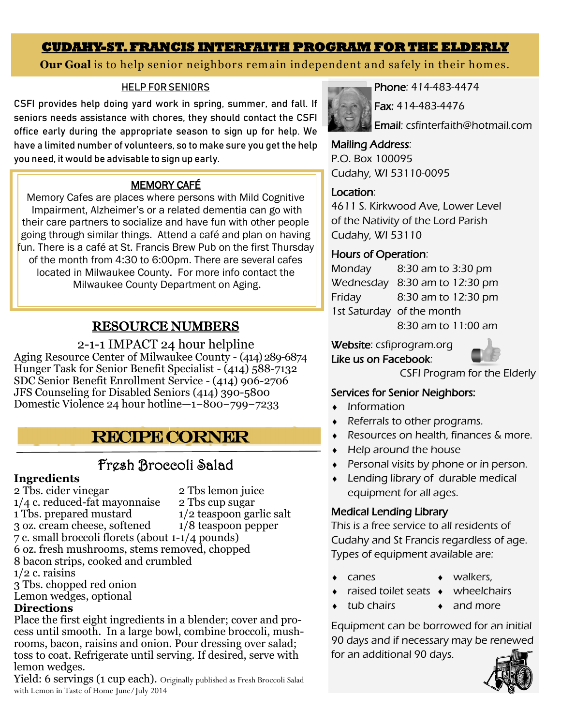## **CUDAHY-ST. FRANCIS INTERFAITH PROGRAM FOR THE ELDERLY**

## **Our Goal** is to help senior neighbors rem ain independent and safely in their hom es.

#### HELP FOR SENIORS

CSFI provides help doing yard work in spring, summer, and fall. If seniors needs assistance with chores, they should contact the CSFI office early during the appropriate season to sign up for help. We have a limited number of volunteers, so to make sure you get the help you need, it would be advisable to sign up early.

## MEMORY CAFÉ

Memory Cafes are places where persons with Mild Cognitive Impairment, Alzheimer's or a related dementia can go with their care partners to socialize and have fun with other people going through similar things. Attend a café and plan on having fun. There is a café at St. Francis Brew Pub on the first Thursday of the month from 4:30 to 6:00pm. There are several cafes located in Milwaukee County. For more info contact the Milwaukee County Department on Aging.

## Ī RESOURCE NUMBERS

2-1-1 IMPACT 24 hour helpline Aging Resource Center of Milwaukee County - (414) 289-6874 Hunger Task for Senior Benefit Specialist - (414) 588-7132 SDC Senior Benefit Enrollment Service - (414) 906-2706 JFS Counseling for Disabled Seniors (414) 390-5800 Domestic Violence 24 hour hotline—1−800−799−7233

# Recipe Corner

## Fresh Broccoli Salad

#### **Ingredients**

2 Tbs. cider vinegar 2 Tbs lemon juice  $1/4$  c. reduced-fat mayonnaise  $2$  Tbs cup sugar 1 Tbs. prepared mustard 1/2 teaspoon garlic salt<br>3 oz. cream cheese, softened 1/8 teaspoon pepper 3 oz. cream cheese, softened 7 c. small broccoli florets (about 1-1/4 pounds) 6 oz. fresh mushrooms, stems removed, chopped 8 bacon strips, cooked and crumbled  $1/2$  c. raisins

- 3 Tbs. chopped red onion
- Lemon wedges, optional

## **Directions**

Place the first eight ingredients in a blender; cover and process until smooth. In a large bowl, combine broccoli, mushrooms, bacon, raisins and onion. Pour dressing over salad; toss to coat. Refrigerate until serving. If desired, serve with lemon wedges.

Yield: 6 servings (1 cup each). Originally published as Fresh Broccoli Salad with Lemon in Taste of Home June/July 2014



Phone: 414-483-4474

Fax: 414-483-4476

Email: csfinterfaith@hotmail.com

#### Mailing Address:

P.O. Box 100095 Cudahy, WI 53110-0095

## Location:

4611 S. Kirkwood Ave, Lower Level of the Nativity of the Lord Parish Cudahy, WI 53110

## Hours of Operation:

Monday 8:30 am to 3:30 pm Wednesday 8:30 am to 12:30 pm Friday 8:30 am to 12:30 pm 1st Saturday of the month

8:30 am to 11:00 am

Website: csfiprogram.org Like us on Facebook:



CSFI Program for the Elderly

## Services for Senior Neighbors:

- Information
- Referrals to other programs.
- ◆ Resources on health, finances & more.
- $\leftarrow$  Help around the house
- Personal visits by phone or in person.
- Lending library of durable medical equipment for all ages.

## Medical Lending Library

This is a free service to all residents of Cudahy and St Francis regardless of age. Types of equipment available are:

- canes
- walkers,
- raised toilet seats wheelchairs

tub chairs

• and more

Equipment can be borrowed for an initial 90 days and if necessary may be renewed for an additional 90 days.